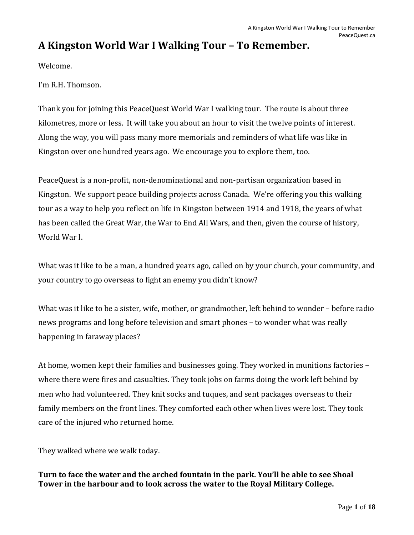# **A Kingston World War I Walking Tour – To Remember.**

Welcome.

I'm R.H. Thomson.

Thank you for joining this PeaceQuest World War I walking tour. The route is about three kilometres, more or less. It will take you about an hour to visit the twelve points of interest. Along the way, you will pass many more memorials and reminders of what life was like in Kingston over one hundred years ago. We encourage you to explore them, too.

PeaceQuest is a non-profit, non-denominational and non-partisan organization based in Kingston. We support peace building projects across Canada. We're offering you this walking tour as a way to help you reflect on life in Kingston between 1914 and 1918, the years of what has been called the Great War, the War to End All Wars, and then, given the course of history, World War I.

What was it like to be a man, a hundred years ago, called on by your church, your community, and your country to go overseas to fight an enemy you didn't know?

What was it like to be a sister, wife, mother, or grandmother, left behind to wonder – before radio news programs and long before television and smart phones – to wonder what was really happening in faraway places?

At home, women kept their families and businesses going. They worked in munitions factories – where there were fires and casualties. They took jobs on farms doing the work left behind by men who had volunteered. They knit socks and tuques, and sent packages overseas to their family members on the front lines. They comforted each other when lives were lost. They took care of the injured who returned home.

They walked where we walk today.

**Turn to face the water and the arched fountain in the park. You'll be able to see Shoal Tower in the harbour and to look across the water to the Royal Military College.**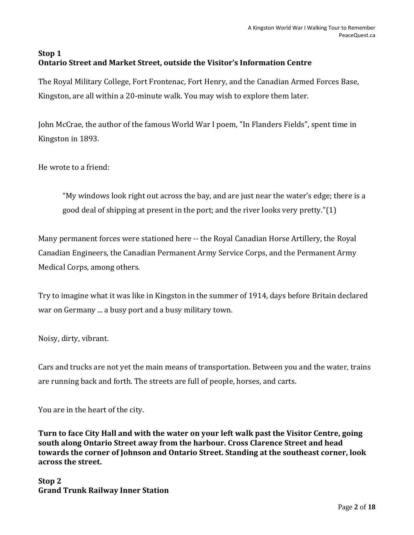## **Stop 1 Ontario Street and Market Street, outside the Visitor's Information Centre**

The Royal Military College, Fort Frontenac, Fort Henry, and the Canadian Armed Forces Base, Kingston, are all within a 20-minute walk. You may wish to explore them later.

John McCrae, the author of the famous World War I poem, "In Flanders Fields", spent time in Kingston in 1893.

He wrote to a friend:

"My windows look right out across the bay, and are just near the water's edge; there is a good deal of shipping at present in the port; and the river looks very pretty."(1)

Many permanent forces were stationed here -- the Royal Canadian Horse Artillery, the Royal Canadian Engineers, the Canadian Permanent Army Service Corps, and the Permanent Army Medical Corps, among others.

Try to imagine what it was like in Kingston in the summer of 1914, days before Britain declared war on Germany ... a busy port and a busy military town.

Noisy, dirty, vibrant.

Cars and trucks are not yet the main means of transportation. Between you and the water, trains are running back and forth. The streets are full of people, horses, and carts.

You are in the heart of the city.

**Turn to face City Hall and with the water on your left walk past the Visitor Centre, going south along Ontario Street away from the harbour. Cross Clarence Street and head towards the corner of Johnson and Ontario Street. Standing at the southeast corner, look across the street.** 

**Stop 2 Grand Trunk Railway Inner Station**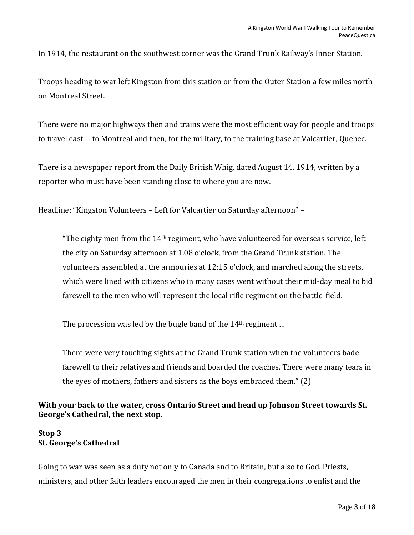In 1914, the restaurant on the southwest corner was the Grand Trunk Railway's Inner Station.

Troops heading to war left Kingston from this station or from the Outer Station a few miles north on Montreal Street.

There were no major highways then and trains were the most efficient way for people and troops to travel east -- to Montreal and then, for the military, to the training base at Valcartier, Quebec.

There is a newspaper report from the Daily British Whig, dated August 14, 1914, written by a reporter who must have been standing close to where you are now.

Headline: "Kingston Volunteers – Left for Valcartier on Saturday afternoon" –

"The eighty men from the  $14<sup>th</sup>$  regiment, who have volunteered for overseas service, left the city on Saturday afternoon at 1.08 o'clock, from the Grand Trunk station. The volunteers assembled at the armouries at 12:15 o'clock, and marched along the streets, which were lined with citizens who in many cases went without their mid-day meal to bid farewell to the men who will represent the local rifle regiment on the battle-field.

The procession was led by the bugle band of the 14<sup>th</sup> regiment ...

There were very touching sights at the Grand Trunk station when the volunteers bade farewell to their relatives and friends and boarded the coaches. There were many tears in the eyes of mothers, fathers and sisters as the boys embraced them." (2)

## **With your back to the water, cross Ontario Street and head up Johnson Street towards St. George's Cathedral, the next stop.**

## **Stop 3 St. George's Cathedral**

Going to war was seen as a duty not only to Canada and to Britain, but also to God. Priests, ministers, and other faith leaders encouraged the men in their congregations to enlist and the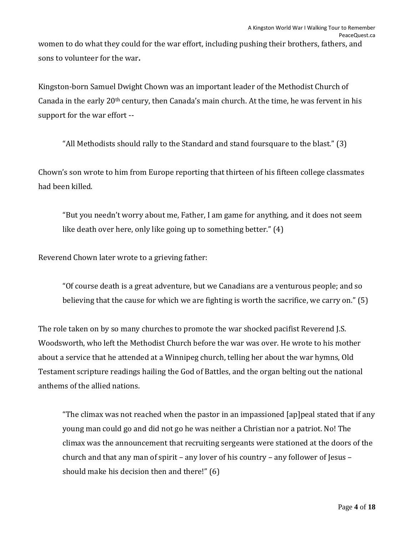women to do what they could for the war effort, including pushing their brothers, fathers, and sons to volunteer for the war**.**

Kingston-born Samuel Dwight Chown was an important leader of the Methodist Church of Canada in the early 20th century, then Canada's main church. At the time, he was fervent in his support for the war effort --

"All Methodists should rally to the Standard and stand foursquare to the blast." (3)

Chown's son wrote to him from Europe reporting that thirteen of his fifteen college classmates had been killed.

"But you needn't worry about me, Father, I am game for anything, and it does not seem like death over here, only like going up to something better." (4)

Reverend Chown later wrote to a grieving father:

"Of course death is a great adventure, but we Canadians are a venturous people; and so believing that the cause for which we are fighting is worth the sacrifice, we carry on." (5)

The role taken on by so many churches to promote the war shocked pacifist Reverend J.S. Woodsworth, who left the Methodist Church before the war was over. He wrote to his mother about a service that he attended at a Winnipeg church, telling her about the war hymns, Old Testament scripture readings hailing the God of Battles, and the organ belting out the national anthems of the allied nations.

"The climax was not reached when the pastor in an impassioned [ap]peal stated that if any young man could go and did not go he was neither a Christian nor a patriot. No! The climax was the announcement that recruiting sergeants were stationed at the doors of the church and that any man of spirit – any lover of his country – any follower of Jesus – should make his decision then and there!" (6)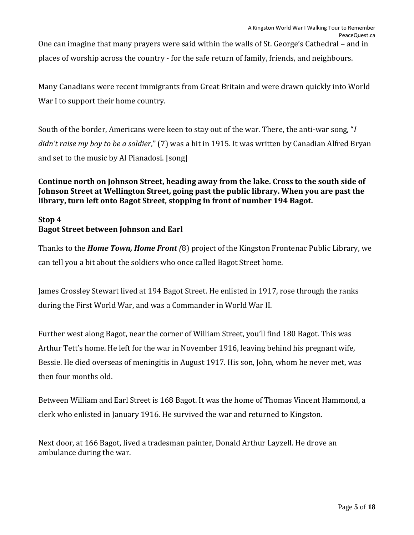One can imagine that many prayers were said within the walls of St. George's Cathedral – and in places of worship across the country - for the safe return of family, friends, and neighbours.

Many Canadians were recent immigrants from Great Britain and were drawn quickly into World War I to support their home country.

South of the border, Americans were keen to stay out of the war. There, the anti-war song, "*I didn't raise my boy to be a soldier*," (7) was a hit in 1915. It was written by Canadian Alfred Bryan and set to the music by Al Pianadosi. [song]

## **Continue north on Johnson Street, heading away from the lake. Cross to the south side of Johnson Street at Wellington Street, going past the public library. When you are past the library, turn left onto Bagot Street, stopping in front of number 194 Bagot.**

## **Stop 4 Bagot Street between Johnson and Earl**

Thanks to the *Home Town, Home Front (*8) project of the Kingston Frontenac Public Library, we can tell you a bit about the soldiers who once called Bagot Street home.

James Crossley Stewart lived at 194 Bagot Street. He enlisted in 1917, rose through the ranks during the First World War, and was a Commander in World War II.

Further west along Bagot, near the corner of William Street, you'll find 180 Bagot. This was Arthur Tett's home. He left for the war in November 1916, leaving behind his pregnant wife, Bessie. He died overseas of meningitis in August 1917. His son, John, whom he never met, was then four months old.

Between William and Earl Street is 168 Bagot. It was the home of Thomas Vincent Hammond, a clerk who enlisted in January 1916. He survived the war and returned to Kingston.

Next door, at 166 Bagot, lived a tradesman painter, Donald Arthur Layzell. He drove an ambulance during the war.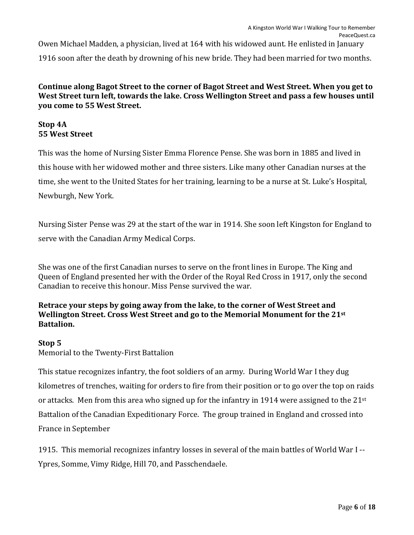Owen Michael Madden, a physician, lived at 164 with his widowed aunt. He enlisted in January 1916 soon after the death by drowning of his new bride. They had been married for two months.

**Continue along Bagot Street to the corner of Bagot Street and West Street. When you get to West Street turn left, towards the lake. Cross Wellington Street and pass a few houses until you come to 55 West Street.**

## **Stop 4A 55 West Street**

This was the home of Nursing Sister Emma Florence Pense. She was born in 1885 and lived in this house with her widowed mother and three sisters. Like many other Canadian nurses at the time, she went to the United States for her training, learning to be a nurse at St. Luke's Hospital, Newburgh, New York.

Nursing Sister Pense was 29 at the start of the war in 1914. She soon left Kingston for England to serve with the Canadian Army Medical Corps.

She was one of the first Canadian nurses to serve on the front lines in Europe. The King and Queen of England presented her with the Order of the Royal Red Cross in 1917, only the second Canadian to receive this honour. Miss Pense survived the war.

## **Retrace your steps by going away from the lake, to the corner of West Street and Wellington Street. Cross West Street and go to the Memorial Monument for the 21st Battalion.**

## **Stop 5**

Memorial to the Twenty-First Battalion

This statue recognizes infantry, the foot soldiers of an army. During World War I they dug kilometres of trenches, waiting for orders to fire from their position or to go over the top on raids or attacks. Men from this area who signed up for the infantry in 1914 were assigned to the 21<sup>st</sup> Battalion of the Canadian Expeditionary Force. The group trained in England and crossed into France in September

1915. This memorial recognizes infantry losses in several of the main battles of World War I -- Ypres, Somme, Vimy Ridge, Hill 70, and Passchendaele.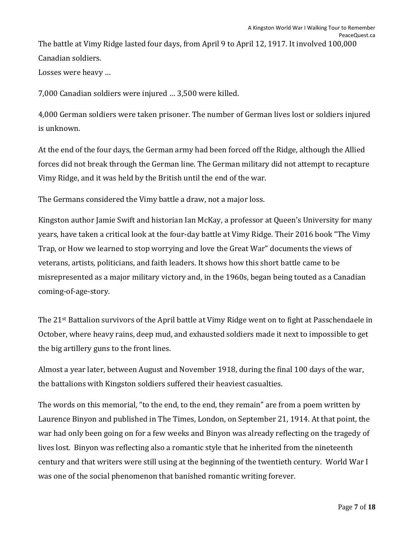The battle at Vimy Ridge lasted four days, from April 9 to April 12, 1917. It involved 100,000 Canadian soldiers.

Losses were heavy …

7,000 Canadian soldiers were injured … 3,500 were killed.

4,000 German soldiers were taken prisoner. The number of German lives lost or soldiers injured is unknown.

At the end of the four days, the German army had been forced off the Ridge, although the Allied forces did not break through the German line. The German military did not attempt to recapture Vimy Ridge, and it was held by the British until the end of the war.

The Germans considered the Vimy battle a draw, not a major loss.

Kingston author Jamie Swift and historian Ian McKay, a professor at Queen's University for many years, have taken a critical look at the four-day battle at Vimy Ridge. Their 2016 book "The Vimy Trap, or How we learned to stop worrying and love the Great War" documents the views of veterans, artists, politicians, and faith leaders. It shows how this short battle came to be misrepresented as a major military victory and, in the 1960s, began being touted as a Canadian coming-of-age-story.

The 21st Battalion survivors of the April battle at Vimy Ridge went on to fight at Passchendaele in October, where heavy rains, deep mud, and exhausted soldiers made it next to impossible to get the big artillery guns to the front lines.

Almost a year later, between August and November 1918, during the final 100 days of the war, the battalions with Kingston soldiers suffered their heaviest casualties.

The words on this memorial, "to the end, to the end, they remain" are from a poem written by Laurence Binyon and published in The Times, London, on September 21, 1914. At that point, the war had only been going on for a few weeks and Binyon was already reflecting on the tragedy of lives lost. Binyon was reflecting also a romantic style that he inherited from the nineteenth century and that writers were still using at the beginning of the twentieth century. World War I was one of the social phenomenon that banished romantic writing forever.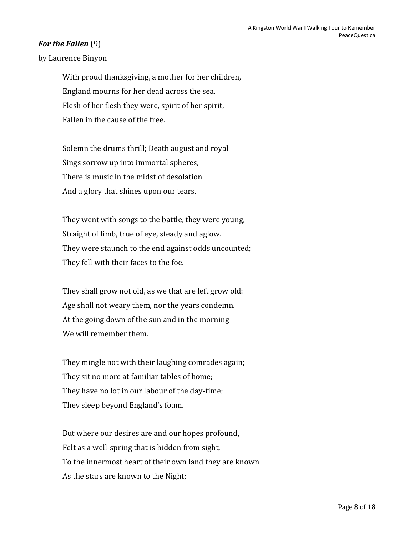## *For the Fallen* (9)

by Laurence Binyon

With proud thanksgiving, a mother for her children, England mourns for her dead across the sea. Flesh of her flesh they were, spirit of her spirit, Fallen in the cause of the free.

Solemn the drums thrill; Death august and royal Sings sorrow up into immortal spheres, There is music in the midst of desolation And a glory that shines upon our tears.

They went with songs to the battle, they were young, Straight of limb, true of eye, steady and aglow. They were staunch to the end against odds uncounted; They fell with their faces to the foe.

They shall grow not old, as we that are left grow old: Age shall not weary them, nor the years condemn. At the going down of the sun and in the morning We will remember them.

They mingle not with their laughing comrades again; They sit no more at familiar tables of home; They have no lot in our labour of the day-time; They sleep beyond England's foam.

But where our desires are and our hopes profound, Felt as a well-spring that is hidden from sight, To the innermost heart of their own land they are known As the stars are known to the Night;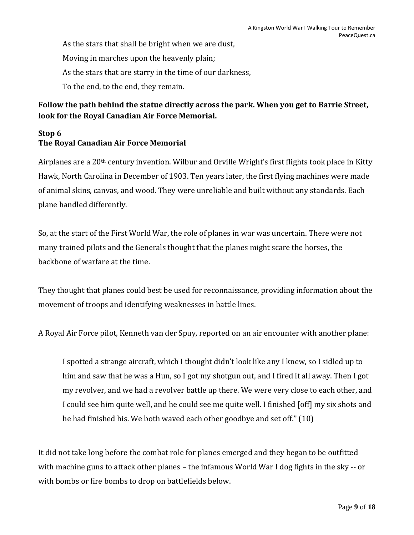As the stars that shall be bright when we are dust, Moving in marches upon the heavenly plain; As the stars that are starry in the time of our darkness, To the end, to the end, they remain.

## **Follow the path behind the statue directly across the park. When you get to Barrie Street, look for the Royal Canadian Air Force Memorial.**

## **Stop 6 The Royal Canadian Air Force Memorial**

Airplanes are a 20th century invention. Wilbur and Orville Wright's first flights took place in Kitty Hawk, North Carolina in December of 1903. Ten years later, the first flying machines were made of animal skins, canvas, and wood. They were unreliable and built without any standards. Each plane handled differently.

So, at the start of the First World War, the role of planes in war was uncertain. There were not many trained pilots and the Generals thought that the planes might scare the horses, the backbone of warfare at the time.

They thought that planes could best be used for reconnaissance, providing information about the movement of troops and identifying weaknesses in battle lines.

A Royal Air Force pilot, Kenneth van der Spuy, reported on an air encounter with another plane:

I spotted a strange aircraft, which I thought didn't look like any I knew, so I sidled up to him and saw that he was a Hun, so I got my shotgun out, and I fired it all away. Then I got my revolver, and we had a revolver battle up there. We were very close to each other, and I could see him quite well, and he could see me quite well. I finished [off] my six shots and he had finished his. We both waved each other goodbye and set off." (10)

It did not take long before the combat role for planes emerged and they began to be outfitted with machine guns to attack other planes – the infamous World War I dog fights in the sky -- or with bombs or fire bombs to drop on battlefields below.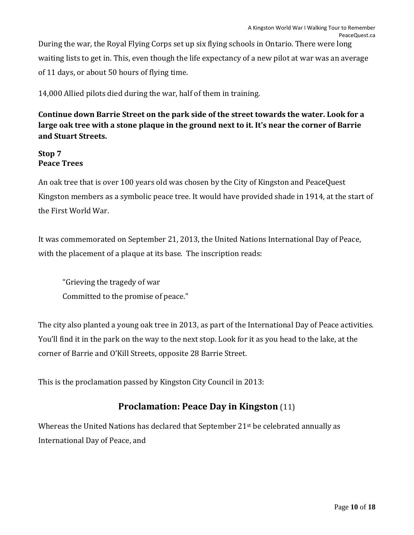During the war, the Royal Flying Corps set up six flying schools in Ontario. There were long waiting lists to get in. This, even though the life expectancy of a new pilot at war was an average of 11 days, or about 50 hours of flying time.

14,000 Allied pilots died during the war, half of them in training.

**Continue down Barrie Street on the park side of the street towards the water. Look for a large oak tree with a stone plaque in the ground next to it. It's near the corner of Barrie and Stuart Streets.**

## **Stop 7 Peace Trees**

An oak tree that is over 100 years old was chosen by the City of Kingston and PeaceQuest Kingston members as a symbolic peace tree. It would have provided shade in 1914, at the start of the First World War.

It was commemorated on September 21, 2013, the United Nations International Day of Peace, with the placement of a plaque at its base. The inscription reads:

"Grieving the tragedy of war Committed to the promise of peace."

The city also planted a young oak tree in 2013, as part of the International Day of Peace activities. You'll find it in the park on the way to the next stop. Look for it as you head to the lake, at the corner of Barrie and O'Kill Streets, opposite 28 Barrie Street.

This is the proclamation passed by Kingston City Council in 2013:

## **Proclamation: Peace Day in Kingston** (11)

Whereas the United Nations has declared that September 21<sup>st</sup> be celebrated annually as International Day of Peace, and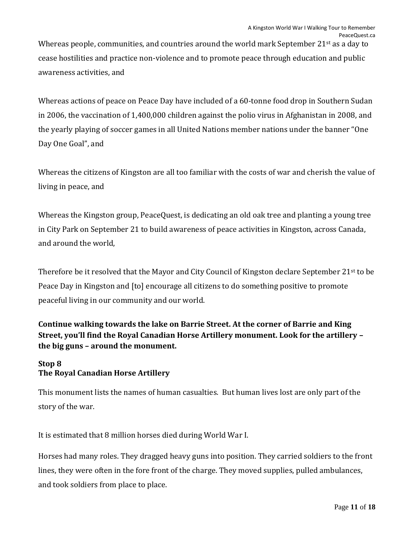Whereas people, communities, and countries around the world mark September 21<sup>st</sup> as a day to cease hostilities and practice non-violence and to promote peace through education and public awareness activities, and

Whereas actions of peace on Peace Day have included of a 60-tonne food drop in Southern Sudan in 2006, the vaccination of 1,400,000 children against the polio virus in Afghanistan in 2008, and the yearly playing of soccer games in all United Nations member nations under the banner "One Day One Goal", and

Whereas the citizens of Kingston are all too familiar with the costs of war and cherish the value of living in peace, and

Whereas the Kingston group, PeaceQuest, is dedicating an old oak tree and planting a young tree in City Park on September 21 to build awareness of peace activities in Kingston, across Canada, and around the world,

Therefore be it resolved that the Mayor and City Council of Kingston declare September 21st to be Peace Day in Kingston and [to] encourage all citizens to do something positive to promote peaceful living in our community and our world.

**Continue walking towards the lake on Barrie Street. At the corner of Barrie and King Street, you'll find the Royal Canadian Horse Artillery monument. Look for the artillery – the big guns – around the monument.**

## **Stop 8 The Royal Canadian Horse Artillery**

This monument lists the names of human casualties. But human lives lost are only part of the story of the war.

It is estimated that 8 million horses died during World War I.

Horses had many roles. They dragged heavy guns into position. They carried soldiers to the front lines, they were often in the fore front of the charge. They moved supplies, pulled ambulances, and took soldiers from place to place.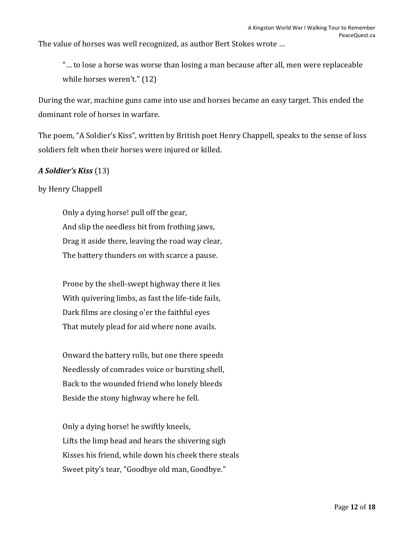The value of horses was well recognized, as author Bert Stokes wrote …

"… to lose a horse was worse than losing a man because after all, men were replaceable while horses weren't." (12)

During the war, machine guns came into use and horses became an easy target. This ended the dominant role of horses in warfare.

The poem, "A Soldier's Kiss", written by British poet Henry Chappell, speaks to the sense of loss soldiers felt when their horses were injured or killed.

#### *A Soldier's Kiss* (13)

by Henry Chappell

Only a dying horse! pull off the gear, And slip the needless bit from frothing jaws, Drag it aside there, leaving the road way clear, The battery thunders on with scarce a pause.

Prone by the shell-swept highway there it lies With quivering limbs, as fast the life-tide fails, Dark films are closing o'er the faithful eyes That mutely plead for aid where none avails.

Onward the battery rolls, but one there speeds Needlessly of comrades voice or bursting shell, Back to the wounded friend who lonely bleeds Beside the stony highway where he fell.

Only a dying horse! he swiftly kneels, Lifts the limp head and hears the shivering sigh Kisses his friend, while down his cheek there steals Sweet pity's tear, "Goodbye old man, Goodbye."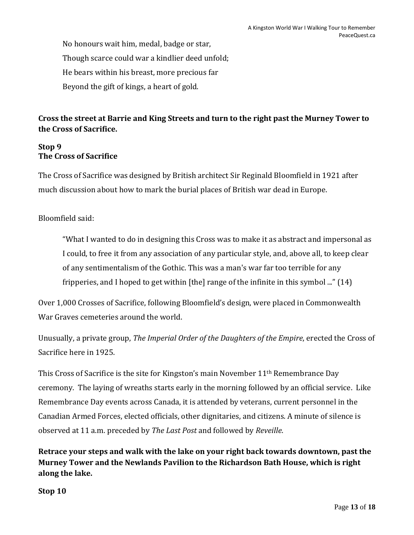No honours wait him, medal, badge or star, Though scarce could war a kindlier deed unfold; He bears within his breast, more precious far Beyond the gift of kings, a heart of gold.

## **Cross the street at Barrie and King Streets and turn to the right past the Murney Tower to the Cross of Sacrifice.**

## **Stop 9 The Cross of Sacrifice**

The Cross of Sacrifice was designed by British architect Sir Reginald Bloomfield in 1921 after much discussion about how to mark the burial places of British war dead in Europe.

## Bloomfield said:

"What I wanted to do in designing this Cross was to make it as abstract and impersonal as I could, to free it from any association of any particular style, and, above all, to keep clear of any sentimentalism of the Gothic. This was a man's war far too terrible for any fripperies, and I hoped to get within [the] range of the infinite in this symbol ..." (14)

Over 1,000 Crosses of Sacrifice, following Bloomfield's design, were placed in Commonwealth War Graves cemeteries around the world.

Unusually, a private group, *The Imperial Order of the Daughters of the Empire*, erected the Cross of Sacrifice here in 1925.

This Cross of Sacrifice is the site for Kingston's main November 11th Remembrance Day ceremony. The laying of wreaths starts early in the morning followed by an official service. Like Remembrance Day events across Canada, it is attended by veterans, current personnel in the Canadian Armed Forces, elected officials, other dignitaries, and citizens. A minute of silence is observed at 11 a.m. preceded by *The Last Post* and followed by *Reveille*.

**Retrace your steps and walk with the lake on your right back towards downtown, past the Murney Tower and the Newlands Pavilion to the Richardson Bath House, which is right along the lake.**

**Stop 10**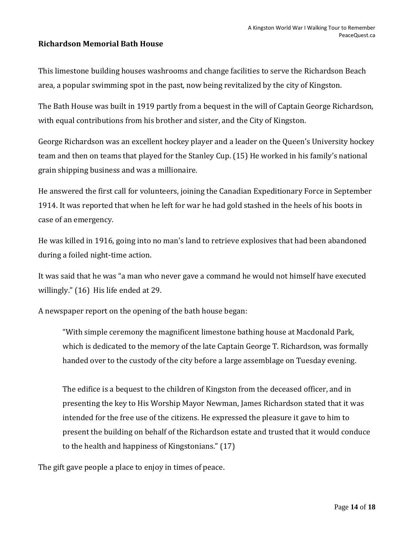### **Richardson Memorial Bath House**

This limestone building houses washrooms and change facilities to serve the Richardson Beach area, a popular swimming spot in the past, now being revitalized by the city of Kingston.

The Bath House was built in 1919 partly from a bequest in the will of Captain George Richardson, with equal contributions from his brother and sister, and the City of Kingston.

George Richardson was an excellent hockey player and a leader on the Queen's University hockey team and then on teams that played for the Stanley Cup. (15) He worked in his family's national grain shipping business and was a millionaire.

He answered the first call for volunteers, joining the [Canadian Expeditionary Force](https://en.wikipedia.org/wiki/Canadian_Expeditionary_Force) in September 1914. It was reported that when he left for war he had gold stashed in the heels of his boots in case of an emergency.

He was killed in 1916, going into no man's land to retrieve explosives that had been abandoned during a foiled night-time action.

It was said that he was "a man who never gave a command he would not himself have executed willingly." (16) His life ended at 29.

A newspaper report on the opening of the bath house began:

"With simple ceremony the magnificent limestone bathing house at Macdonald Park, which is dedicated to the memory of the late Captain George T. Richardson, was formally handed over to the custody of the city before a large assemblage on Tuesday evening.

The edifice is a bequest to the children of Kingston from the deceased officer, and in presenting the key to His Worship Mayor Newman, James Richardson stated that it was intended for the free use of the citizens. He expressed the pleasure it gave to him to present the building on behalf of the Richardson estate and trusted that it would conduce to the health and happiness of Kingstonians." (17)

The gift gave people a place to enjoy in times of peace.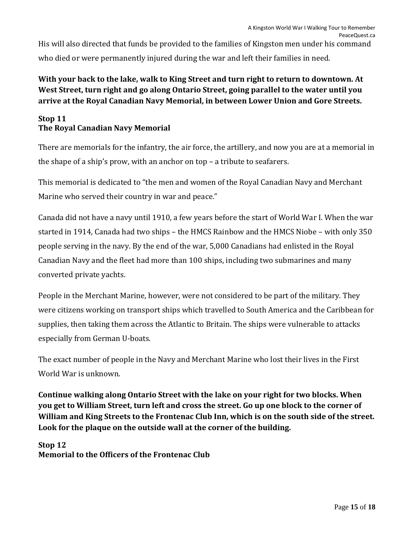His will also directed that funds be provided to the families of Kingston men under his command who died or were permanently injured during the war and left their families in need.

## **With your back to the lake, walk to King Street and turn right to return to downtown. At West Street, turn right and go along Ontario Street, going parallel to the water until you arrive at the Royal Canadian Navy Memorial, in between Lower Union and Gore Streets.**

## **Stop 11 The Royal Canadian Navy Memorial**

There are memorials for the infantry, the air force, the artillery, and now you are at a memorial in the shape of a ship's prow, with an anchor on top – a tribute to seafarers.

This memorial is dedicated to "the men and women of the Royal Canadian Navy and Merchant Marine who served their country in war and peace."

Canada did not have a navy until 1910, a few years before the start of World War I. When the war started in 1914, Canada had two ships – the HMCS Rainbow and the HMCS Niobe – with only 350 people serving in the navy. By the end of the war, 5,000 Canadians had enlisted in the Royal Canadian Navy and the fleet had more than 100 ships, including two submarines and many converted private yachts.

People in the Merchant Marine, however, were not considered to be part of the military. They were citizens working on transport ships which travelled to South America and the Caribbean for supplies, then taking them across the Atlantic to Britain. The ships were vulnerable to attacks especially from German U-boats.

The exact number of people in the Navy and Merchant Marine who lost their lives in the First World War is unknown.

**Continue walking along Ontario Street with the lake on your right for two blocks. When you get to William Street, turn left and cross the street. Go up one block to the corner of William and King Streets to the Frontenac Club Inn, which is on the south side of the street. Look for the plaque on the outside wall at the corner of the building.**

#### **Stop 12 Memorial to the Officers of the Frontenac Club**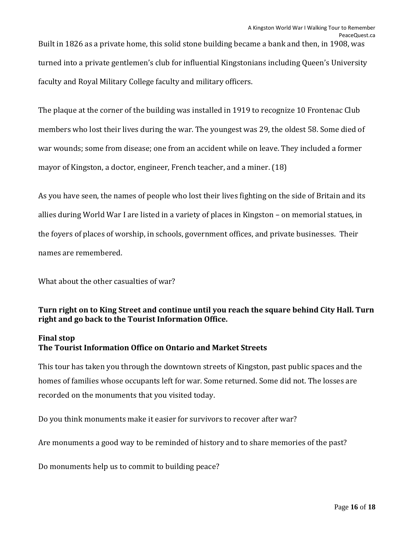Built in 1826 as a private home, this solid stone building became a bank and then, in 1908, was turned into a private gentlemen's club for influential Kingstonians including Queen's University faculty and Royal Military College faculty and military officers.

The plaque at the corner of the building was installed in 1919 to recognize 10 Frontenac Club members who lost their lives during the war. The youngest was 29, the oldest 58. Some died of war wounds; some from disease; one from an accident while on leave. They included a former mayor of Kingston, a doctor, engineer, French teacher, and a miner. (18)

As you have seen, the names of people who lost their lives fighting on the side of Britain and its allies during World War I are listed in a variety of places in Kingston – on memorial statues, in the foyers of places of worship, in schools, government offices, and private businesses. Their names are remembered.

What about the other casualties of war?

## **Turn right on to King Street and continue until you reach the square behind City Hall. Turn right and go back to the Tourist Information Office.**

#### **Final stop**

#### **The Tourist Information Office on Ontario and Market Streets**

This tour has taken you through the downtown streets of Kingston, past public spaces and the homes of families whose occupants left for war. Some returned. Some did not. The losses are recorded on the monuments that you visited today.

Do you think monuments make it easier for survivors to recover after war?

Are monuments a good way to be reminded of history and to share memories of the past?

Do monuments help us to commit to building peace?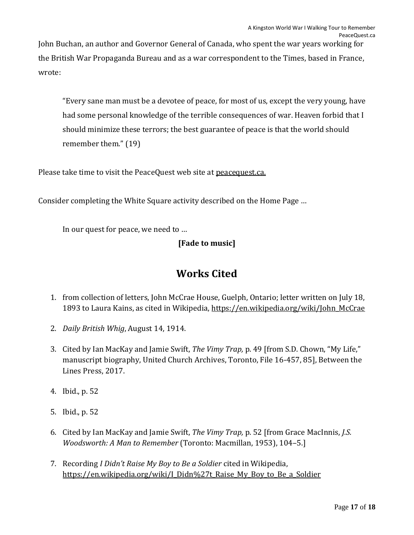John Buchan, an author and Governor General of Canada, who spent the war years working for the British War Propaganda Bureau and as a war correspondent to the Times, based in France, wrote:

"Every sane man must be a devotee of peace, for most of us, except the very young, have had some personal knowledge of the terrible consequences of war. Heaven forbid that I should minimize these terrors; the best guarantee of peace is that the world should remember them." (19)

Please take time to visit the PeaceQuest web site at [peacequest.ca.](http://peacequest.ca/)

Consider completing the White Square activity described on the Home Page …

In our quest for peace, we need to …

## **[Fade to music]**

# **Works Cited**

- 1. from collection of letters, John McCrae House, Guelph, Ontario; letter written on July 18, 1893 to Laura Kains, as cited in Wikipedia[, https://en.wikipedia.org/wiki/John\\_McCrae](https://en.wikipedia.org/wiki/John_McCrae)
- 2. *Daily British Whig*, August 14, 1914.
- 3. Cited by Ian MacKay and Jamie Swift, *The Vimy Trap,* p. 49 [from S.D. Chown, "My Life," manuscript biography, United Church Archives, Toronto, File 16-457, 85], Between the Lines Press, 2017.
- 4. Ibid., p. 52
- 5. Ibid., p. 52
- 6. Cited by Ian MacKay and Jamie Swift, *The Vimy Trap,* p. 52 [from Grace MacInnis, *J.S. Woodsworth: A Man to Remember* (Toronto: Macmillan, 1953), 104–5.]
- 7. Recording *I Didn't Raise My Boy to Be a Soldier* cited in Wikipedia, [https://en.wikipedia.org/wiki/I\\_Didn%27t\\_Raise\\_My\\_Boy\\_to\\_Be\\_a\\_Soldier](https://en.wikipedia.org/wiki/I_Didn%27t_Raise_My_Boy_to_Be_a_Soldier)